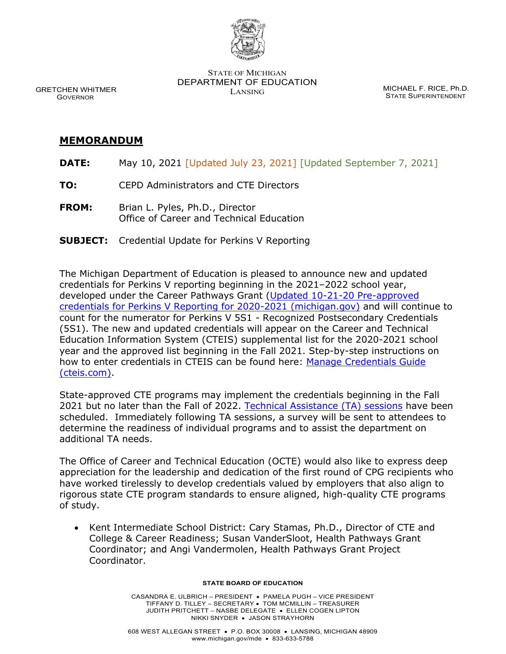

STATE OF MICHIGAN DEPARTMENT OF EDUCATION MICHAEL F. RICE, Ph.D.<br>LANSING

STATE SUPERINTENDENT

 GRETCHEN WHITMER GOVERNOR

#### **MEMORANDUM**

- **DATE:** May 10, 2021 [Updated July 23, 2021] [Updated September 7, 2021]
- **TO:** CEPD Administrators and CTE Directors
- **FROM:** Brian L. Pyles, Ph.D., Director Office of Career and Technical Education
- **SUBJECT:** Credential Update for Perkins V Reporting

The Michigan Department of Education is pleased to announce new and updated credentials for Perkins V reporting beginning in the 2021–2022 school year, developed under the Career Pathways Grant [\(Updated 10-21-20 Pre-approved](https://www.michigan.gov/documents/mde/Credential_List_Clarification_Memo_10-21-20_705812_7.pdf)  [credentials for Perkins V Reporting for 2020-2021 \(michigan.gov\)](https://www.michigan.gov/documents/mde/Credential_List_Clarification_Memo_10-21-20_705812_7.pdf) and will continue to count for the numerator for Perkins V 5S1 - Recognized Postsecondary Credentials (5S1). The new and updated credentials will appear on the Career and Technical Education Information System (CTEIS) supplemental list for the 2020-2021 school year and the approved list beginning in the Fall 2021. Step-by-step instructions on how to enter credentials in CTEIS can be found here: [Manage Credentials Guide](https://gcc02.safelinks.protection.outlook.com/?url=http%3A%2F%2Fsupport.cteis.com%2FPortals%2F3%2FManage-Credentials.pdf&data=04%7C01%7CCordanoM%40michigan.gov%7Cdf333d2700d5433e108e08d90f30755e%7Cd5fb7087377742ad966a892ef47225d1%7C0%7C0%7C637557523060082066%7CUnknown%7CTWFpbGZsb3d8eyJWIjoiMC4wLjAwMDAiLCJQIjoiV2luMzIiLCJBTiI6Ik1haWwiLCJXVCI6Mn0%3D%7C1000&sdata=2ul%2BaHjJa3cnkmEF6QKi8L62%2Fax7XqJoNLkg%2FFR9uA0%3D&reserved=0)  [\(cteis.com\).](https://gcc02.safelinks.protection.outlook.com/?url=http%3A%2F%2Fsupport.cteis.com%2FPortals%2F3%2FManage-Credentials.pdf&data=04%7C01%7CCordanoM%40michigan.gov%7Cdf333d2700d5433e108e08d90f30755e%7Cd5fb7087377742ad966a892ef47225d1%7C0%7C0%7C637557523060082066%7CUnknown%7CTWFpbGZsb3d8eyJWIjoiMC4wLjAwMDAiLCJQIjoiV2luMzIiLCJBTiI6Ik1haWwiLCJXVCI6Mn0%3D%7C1000&sdata=2ul%2BaHjJa3cnkmEF6QKi8L62%2Fax7XqJoNLkg%2FFR9uA0%3D&reserved=0)

State-approved CTE programs may implement the credentials beginning in the Fall 2021 but no later than the Fall of 2022. [Technical Assistance \(TA\) sessions](https://www.michigan.gov/documents/mde/CPG_TA_Recorded_Sessions_724242_7.pdf) have been scheduled. Immediately following TA sessions, a survey will be sent to attendees to determine the readiness of individual programs and to assist the department on additional TA needs.

The Office of Career and Technical Education (OCTE) would also like to express deep appreciation for the leadership and dedication of the first round of CPG recipients who have worked tirelessly to develop credentials valued by employers that also align to rigorous state CTE program standards to ensure aligned, high-quality CTE programs of study.

• Kent Intermediate School District: Cary Stamas, Ph.D., Director of CTE and College & Career Readiness; Susan VanderSloot, Health Pathways Grant Coordinator; and Angi Vandermolen, Health Pathways Grant Project Coordinator.

#### **STATE BOARD OF EDUCATION**

CASANDRA E. ULBRICH – PRESIDENT • PAMELA PUGH – VICE PRESIDENT TIFFANY D. TILLEY – SECRETARY • TOM MCMILLIN – TREASURER JUDITH PRITCHETT – NASBE DELEGATE • ELLEN COGEN LIPTON NIKKI SNYDER • JASON STRAYHORN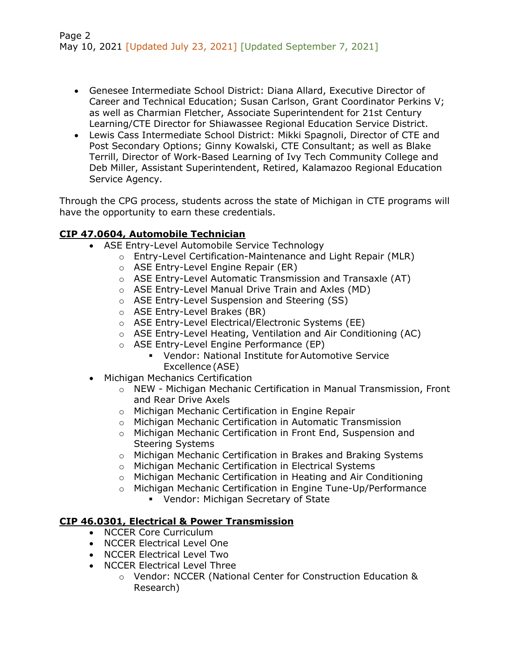- Genesee Intermediate School District: Diana Allard, Executive Director of Career and Technical Education; Susan Carlson, Grant Coordinator Perkins V; as well as Charmian Fletcher, Associate Superintendent for 21st Century Learning/CTE Director for Shiawassee Regional Education Service District.
- Lewis Cass Intermediate School District: Mikki Spagnoli, Director of CTE and Post Secondary Options; Ginny Kowalski, CTE Consultant; as well as Blake Terrill, Director of Work-Based Learning of Ivy Tech Community College and Deb Miller, Assistant Superintendent, Retired, Kalamazoo Regional Education Service Agency.

Through the CPG process, students across the state of Michigan in CTE programs will have the opportunity to earn these credentials.

# **CIP 47.0604, Automobile Technician**

- ASE Entry-Level Automobile Service Technology
	- o Entry-Level Certification-Maintenance and Light Repair (MLR)
		- o ASE Entry-Level Engine Repair (ER)
		- o ASE Entry-Level Automatic Transmission and Transaxle (AT)
		- o ASE Entry-Level Manual Drive Train and Axles (MD)
		- o ASE Entry-Level Suspension and Steering (SS)
		- o ASE Entry-Level Brakes (BR)
		- o ASE Entry-Level Electrical/Electronic Systems (EE)
		- o ASE Entry-Level Heating, Ventilation and Air Conditioning (AC)
		- o ASE Entry-Level Engine Performance (EP)
			- Vendor: National Institute for Automotive Service Excellence (ASE)
- Michigan Mechanics Certification
	- o NEW Michigan Mechanic Certification in Manual Transmission, Front and Rear Drive Axels
	- o Michigan Mechanic Certification in Engine Repair
	- o Michigan Mechanic Certification in Automatic Transmission
	- o Michigan Mechanic Certification in Front End, Suspension and Steering Systems
	- o Michigan Mechanic Certification in Brakes and Braking Systems
	- o Michigan Mechanic Certification in Electrical Systems
	- o Michigan Mechanic Certification in Heating and Air Conditioning
	- o Michigan Mechanic Certification in Engine Tune-Up/Performance
		- Vendor: Michigan Secretary of State

# **CIP 46.0301, Electrical & Power Transmission**

- NCCER Core Curriculum
- NCCER Electrical Level One
- NCCER Electrical Level Two
- NCCER Electrical Level Three
	- o Vendor: NCCER (National Center for Construction Education & Research)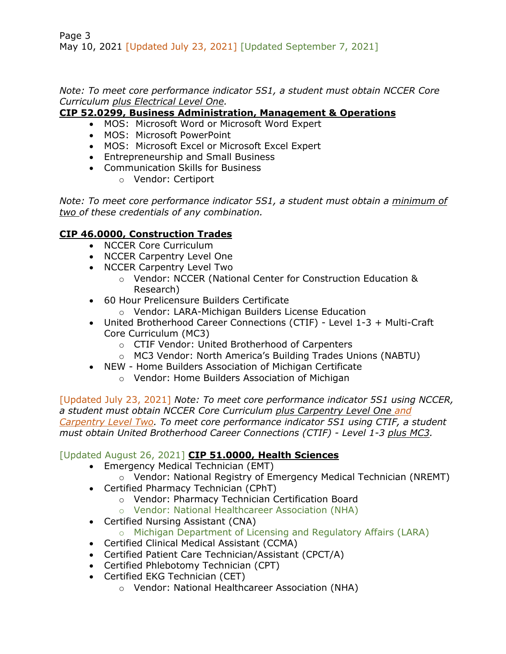Page 3 May 10, 2021 [Updated July 23, 2021] [Updated September 7, 2021]

*Note: To meet core performance indicator 5S1, a student must obtain NCCER Core Curriculum plus Electrical Level One.* 

#### **CIP 52.0299, Business Administration, Management & Operations**

- MOS: Microsoft Word or Microsoft Word Expert
- MOS: Microsoft PowerPoint
- MOS: Microsoft Excel or Microsoft Excel Expert
- Entrepreneurship and Small Business
- Communication Skills for Business
	- o Vendor: Certiport

*Note: To meet core performance indicator 5S1, a student must obtain a minimum of two of these credentials of any combination.*

# **CIP 46.0000, Construction Trades**

- NCCER Core Curriculum
- NCCER Carpentry Level One
- NCCER Carpentry Level Two
	- o Vendor: NCCER (National Center for Construction Education & Research)
- 60 Hour Prelicensure Builders Certificate
	- o Vendor: LARA-Michigan Builders License Education
- United Brotherhood Career Connections (CTIF) Level 1-3 + Multi-Craft Core Curriculum (MC3)
	- o CTIF Vendor: United Brotherhood of Carpenters
	- o MC3 Vendor: North America's Building Trades Unions (NABTU)
- NEW Home Builders Association of Michigan Certificate
	- o Vendor: Home Builders Association of Michigan

[Updated July 23, 2021] *Note: To meet core performance indicator 5S1 using NCCER, a student must obtain NCCER Core Curriculum plus Carpentry Level One and Carpentry Level Two. To meet core performance indicator 5S1 using CTIF, a student must obtain United Brotherhood Career Connections (CTIF) - Level 1-3 plus MC3.*

# [Updated August 26, 2021] **CIP 51.0000, Health Sciences**

- Emergency Medical Technician (EMT)
	- o Vendor: National Registry of Emergency Medical Technician (NREMT)
- Certified Pharmacy Technician (CPhT)
	- o Vendor: Pharmacy Technician Certification Board
	- o Vendor: National Healthcareer Association (NHA)
- Certified Nursing Assistant (CNA)
	- o Michigan Department of Licensing and Regulatory Affairs (LARA)
- Certified Clinical Medical Assistant (CCMA)
- Certified Patient Care Technician/Assistant (CPCT/A)
- Certified Phlebotomy Technician (CPT)
- Certified EKG Technician (CET)
	- o Vendor: National Healthcareer Association (NHA)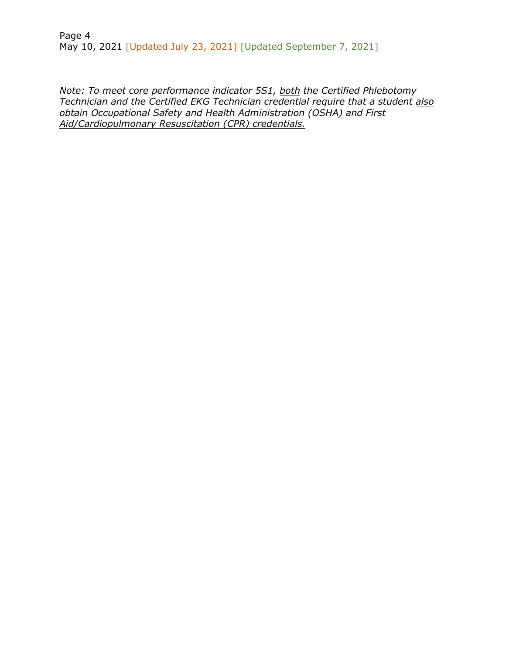Page 4 May 10, 2021 [Updated July 23, 2021] [Updated September 7, 2021]

*Note: To meet core performance indicator 5S1, both the Certified Phlebotomy Technician and the Certified EKG Technician credential require that a student also obtain Occupational Safety and Health Administration (OSHA) and First Aid/Cardiopulmonary Resuscitation (CPR) credentials.*